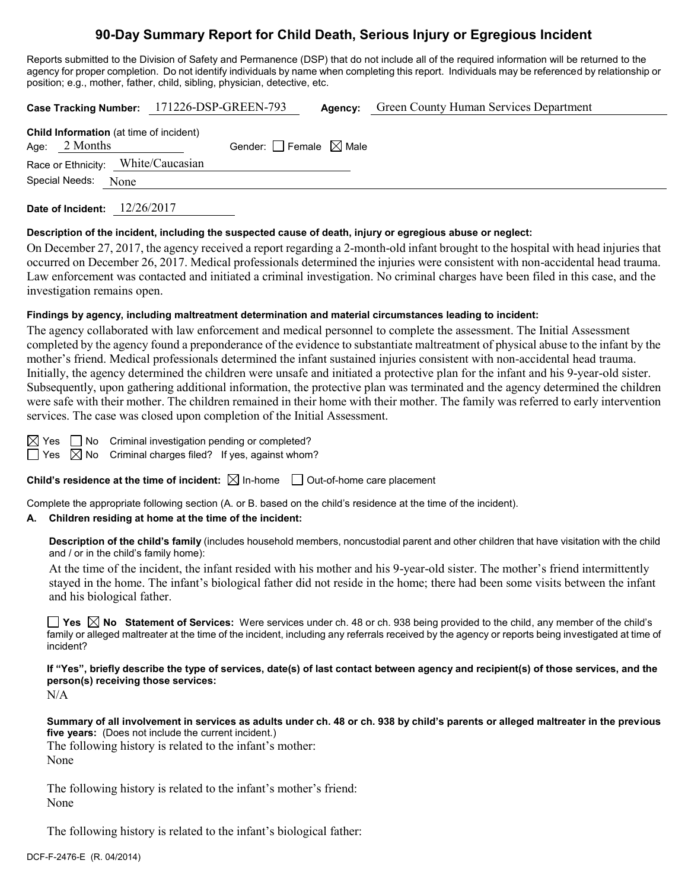# **90-Day Summary Report for Child Death, Serious Injury or Egregious Incident**

Reports submitted to the Division of Safety and Permanence (DSP) that do not include all of the required information will be returned to the agency for proper completion. Do not identify individuals by name when completing this report. Individuals may be referenced by relationship or position; e.g., mother, father, child, sibling, physician, detective, etc.

| Case Tracking Number: 171226-DSP-GREEN-793                        |  |                                 | Agency: | <b>Green County Human Services Department</b> |
|-------------------------------------------------------------------|--|---------------------------------|---------|-----------------------------------------------|
| <b>Child Information</b> (at time of incident)<br>Age: $2$ Months |  | Gender: Female $\boxtimes$ Male |         |                                               |
| Race or Ethnicity: White/Caucasian                                |  |                                 |         |                                               |
| Special Needs: None                                               |  |                                 |         |                                               |

**Date of Incident:** 12/26/2017

#### **Description of the incident, including the suspected cause of death, injury or egregious abuse or neglect:**

On December 27, 2017, the agency received a report regarding a 2-month-old infant brought to the hospital with head injuries that occurred on December 26, 2017. Medical professionals determined the injuries were consistent with non-accidental head trauma. Law enforcement was contacted and initiated a criminal investigation. No criminal charges have been filed in this case, and the investigation remains open.

#### **Findings by agency, including maltreatment determination and material circumstances leading to incident:**

The agency collaborated with law enforcement and medical personnel to complete the assessment. The Initial Assessment completed by the agency found a preponderance of the evidence to substantiate maltreatment of physical abuse to the infant by the mother's friend. Medical professionals determined the infant sustained injuries consistent with non-accidental head trauma. Initially, the agency determined the children were unsafe and initiated a protective plan for the infant and his 9-year-old sister. Subsequently, upon gathering additional information, the protective plan was terminated and the agency determined the children were safe with their mother. The children remained in their home with their mother. The family was referred to early intervention services. The case was closed upon completion of the Initial Assessment.

 $\boxtimes$  Yes  $\Box$  No Criminal investigation pending or completed?

 $\Box$  Yes  $\boxtimes$  No Criminal charges filed? If yes, against whom?

**Child's residence at the time of incident:**  $\boxtimes$  In-home  $\Box$  Out-of-home care placement

Complete the appropriate following section (A. or B. based on the child's residence at the time of the incident).

## **A. Children residing at home at the time of the incident:**

**Description of the child's family** (includes household members, noncustodial parent and other children that have visitation with the child and / or in the child's family home):

At the time of the incident, the infant resided with his mother and his 9-year-old sister. The mother's friend intermittently stayed in the home. The infant's biological father did not reside in the home; there had been some visits between the infant and his biological father.

**Yes No Statement of Services:** Were services under ch. 48 or ch. 938 being provided to the child, any member of the child's family or alleged maltreater at the time of the incident, including any referrals received by the agency or reports being investigated at time of incident?

**If "Yes", briefly describe the type of services, date(s) of last contact between agency and recipient(s) of those services, and the person(s) receiving those services:**

N/A

**Summary of all involvement in services as adults under ch. 48 or ch. 938 by child's parents or alleged maltreater in the previous five years:** (Does not include the current incident.) The following history is related to the infant's mother:

None

The following history is related to the infant's mother's friend: None

The following history is related to the infant's biological father: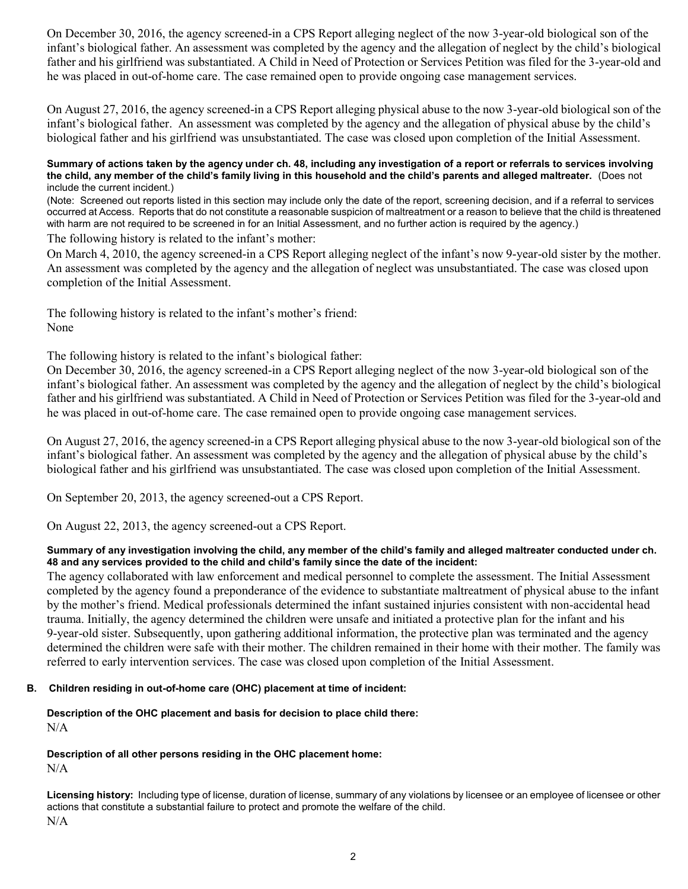On December 30, 2016, the agency screened-in a CPS Report alleging neglect of the now 3-year-old biological son of the infant's biological father. An assessment was completed by the agency and the allegation of neglect by the child's biological father and his girlfriend was substantiated. A Child in Need of Protection or Services Petition was filed for the 3-year-old and he was placed in out-of-home care. The case remained open to provide ongoing case management services.

On August 27, 2016, the agency screened-in a CPS Report alleging physical abuse to the now 3-year-old biological son of the infant's biological father. An assessment was completed by the agency and the allegation of physical abuse by the child's biological father and his girlfriend was unsubstantiated. The case was closed upon completion of the Initial Assessment.

#### **Summary of actions taken by the agency under ch. 48, including any investigation of a report or referrals to services involving the child, any member of the child's family living in this household and the child's parents and alleged maltreater.** (Does not include the current incident.)

(Note: Screened out reports listed in this section may include only the date of the report, screening decision, and if a referral to services occurred at Access. Reports that do not constitute a reasonable suspicion of maltreatment or a reason to believe that the child is threatened with harm are not required to be screened in for an Initial Assessment, and no further action is required by the agency.)

The following history is related to the infant's mother:

On March 4, 2010, the agency screened-in a CPS Report alleging neglect of the infant's now 9-year-old sister by the mother. An assessment was completed by the agency and the allegation of neglect was unsubstantiated. The case was closed upon completion of the Initial Assessment.

The following history is related to the infant's mother's friend: None

The following history is related to the infant's biological father:

On December 30, 2016, the agency screened-in a CPS Report alleging neglect of the now 3-year-old biological son of the infant's biological father. An assessment was completed by the agency and the allegation of neglect by the child's biological father and his girlfriend was substantiated. A Child in Need of Protection or Services Petition was filed for the 3-year-old and he was placed in out-of-home care. The case remained open to provide ongoing case management services.

On August 27, 2016, the agency screened-in a CPS Report alleging physical abuse to the now 3-year-old biological son of the infant's biological father. An assessment was completed by the agency and the allegation of physical abuse by the child's biological father and his girlfriend was unsubstantiated. The case was closed upon completion of the Initial Assessment.

On September 20, 2013, the agency screened-out a CPS Report.

On August 22, 2013, the agency screened-out a CPS Report.

### **Summary of any investigation involving the child, any member of the child's family and alleged maltreater conducted under ch. 48 and any services provided to the child and child's family since the date of the incident:**

The agency collaborated with law enforcement and medical personnel to complete the assessment. The Initial Assessment completed by the agency found a preponderance of the evidence to substantiate maltreatment of physical abuse to the infant by the mother's friend. Medical professionals determined the infant sustained injuries consistent with non-accidental head trauma. Initially, the agency determined the children were unsafe and initiated a protective plan for the infant and his 9-year-old sister. Subsequently, upon gathering additional information, the protective plan was terminated and the agency determined the children were safe with their mother. The children remained in their home with their mother. The family was referred to early intervention services. The case was closed upon completion of the Initial Assessment.

## **B. Children residing in out-of-home care (OHC) placement at time of incident:**

### **Description of the OHC placement and basis for decision to place child there:** N/A

## **Description of all other persons residing in the OHC placement home:**

N/A

**Licensing history:** Including type of license, duration of license, summary of any violations by licensee or an employee of licensee or other actions that constitute a substantial failure to protect and promote the welfare of the child. N/A